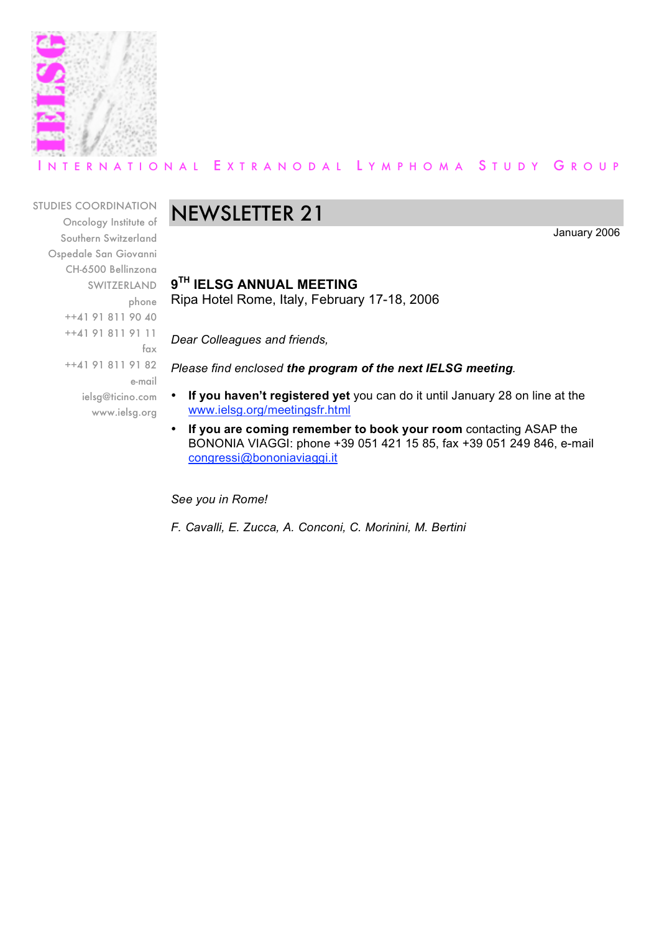

### INTERNATIONAL EXTRANODAL LYMPHOMA STUDY GROUP

STUDIES COORDINATION Oncology Institute of Southern Switzerland Ospedale San Giovanni CH-6500 Bellinzona SWITZERLAND phone ++41 91 811 90 40 ++41 91 811 91 11 fax ++41 91 811 91 82 e-mail ielsg@ticino.com www.ielsg.org

## NEWSLETTER 21

January 2006

**9TH IELSG ANNUAL MEETING** Ripa Hotel Rome, Italy, February 17-18, 2006

*Dear Colleagues and friends,*

*Please find enclosed the program of the next IELSG meeting.*

- **If you haven't registered yet** you can do it until January 28 on line at the www.ielsg.org/meetingsfr.html
- **If you are coming remember to book your room** contacting ASAP the BONONIA VIAGGI: phone +39 051 421 15 85, fax +39 051 249 846, e-mail congressi@bononiaviaggi.it

*See you in Rome!*

*F. Cavalli, E. Zucca, A. Conconi, C. Morinini, M. Bertini*